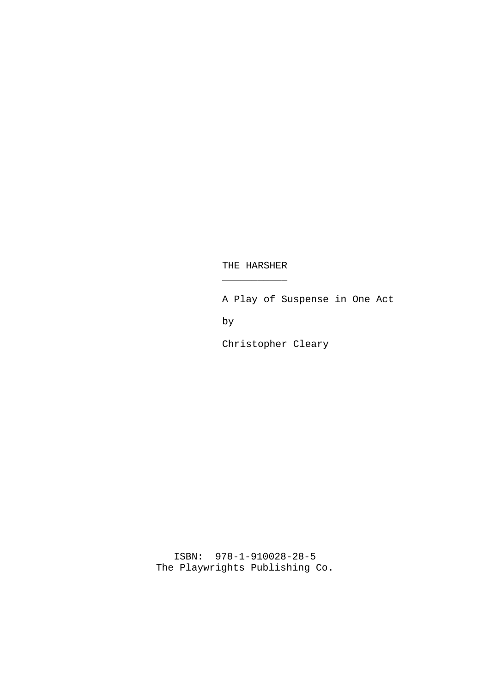$\overline{\phantom{a}}$  , where  $\overline{\phantom{a}}$ 

A Play of Suspense in One Act

by

Christopher Cleary

ISBN: 978-1-910028-28-5 The Playwrights Publishing Co.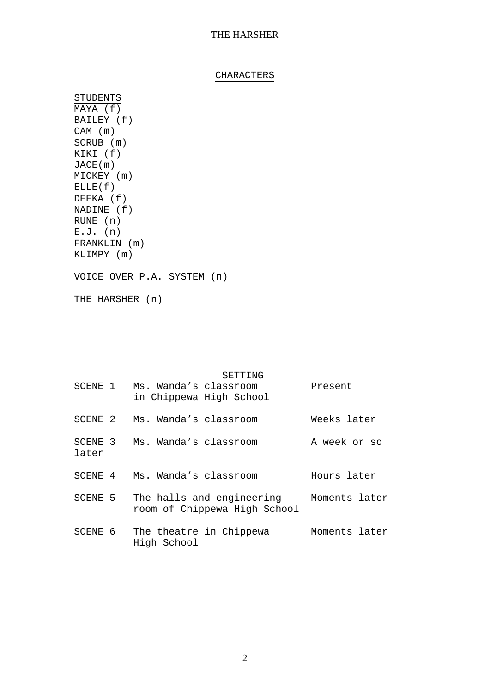## CHARACTERS

STUDENTS MAYA (f) BAILEY (f) CAM (m) SCRUB (m) KIKI (f) JACE(m) MICKEY (m)  $ELLE(f)$ DEEKA (f) NADINE (f) RUNE (n) E.J. (n) FRANKLIN (m) KLIMPY (m)

VOICE OVER P.A. SYSTEM (n)

THE HARSHER (n)

#### SETTING

|       | SCENE 1 Ms. Wanda's classroom<br>in Chippewa High School                        | Present       |
|-------|---------------------------------------------------------------------------------|---------------|
|       | SCENE 2 Ms. Wanda's classroom                                                   | Weeks later   |
| later | SCENE 3 Ms. Wanda's classroom                                                   | A week or so  |
|       | SCENE 4 Ms. Wanda's classroom                                                   | Hours later   |
|       | SCENE 5 The halls and engineering Moments later<br>room of Chippewa High School |               |
|       | SCENE 6 The theatre in Chippewa<br>High School                                  | Moments later |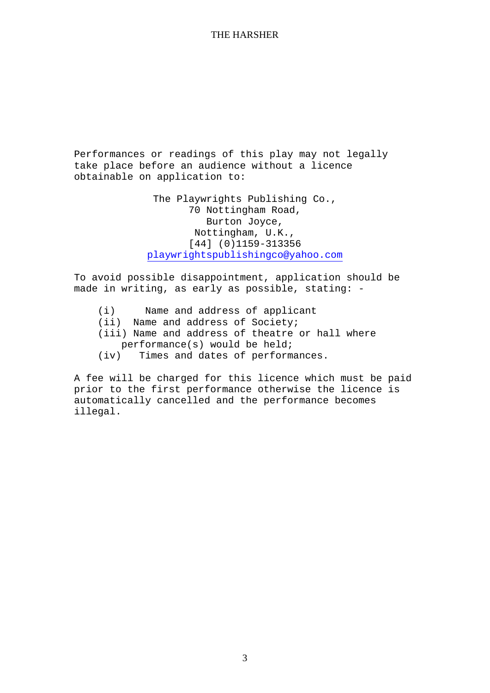Performances or readings of this play may not legally take place before an audience without a licence obtainable on application to:

> The Playwrights Publishing Co., 70 Nottingham Road, Burton Joyce, Nottingham, U.K., [44] (0)1159-313356 playwrightspublishingco@yahoo.com

To avoid possible disappointment, application should be made in writing, as early as possible, stating: -

(i) Name and address of applicant (ii) Name and address of Society;

(iii) Name and address of theatre or hall where performance(s) would be held;

(iv) Times and dates of performances.

A fee will be charged for this licence which must be paid prior to the first performance otherwise the licence is automatically cancelled and the performance becomes illegal.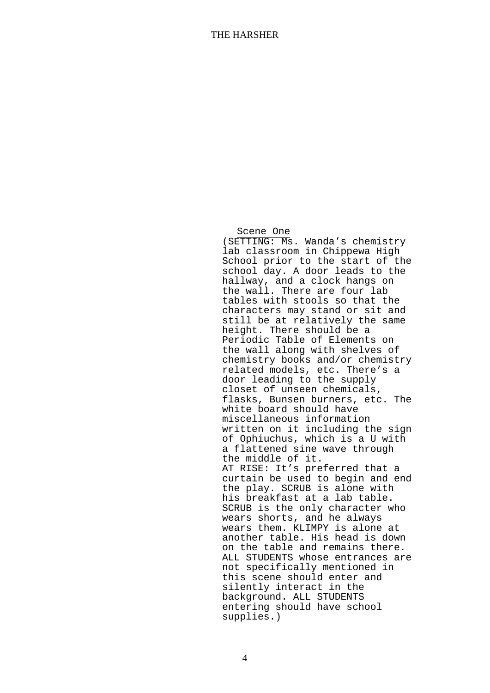Scene One

(SETTING: Ms. Wanda's chemistry lab classroom in Chippewa High School prior to the start of the school day. A door leads to the hallway, and a clock hangs on the wall. There are four lab tables with stools so that the characters may stand or sit and still be at relatively the same height. There should be a Periodic Table of Elements on the wall along with shelves of chemistry books and/or chemistry related models, etc. There's a door leading to the supply closet of unseen chemicals, flasks, Bunsen burners, etc. The white board should have miscellaneous information written on it including the sign of Ophiuchus, which is a U with a flattened sine wave through the middle of it. AT RISE: It's preferred that a curtain be used to begin and end the play. SCRUB is alone with his breakfast at a lab table. SCRUB is the only character who wears shorts, and he always wears them. KLIMPY is alone at another table. His head is down on the table and remains there. ALL STUDENTS whose entrances are not specifically mentioned in this scene should enter and silently interact in the background. ALL STUDENTS entering should have school supplies.)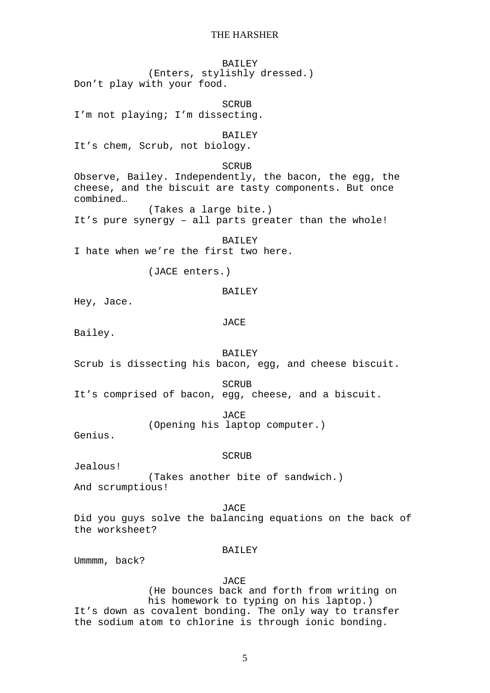BAILEY (Enters, stylishly dressed.) Don't play with your food. **SCRUB** I'm not playing; I'm dissecting. **BAILEY** It's chem, Scrub, not biology. SCRUB Observe, Bailey. Independently, the bacon, the egg, the cheese, and the biscuit are tasty components. But once combined… (Takes a large bite.) It's pure synergy – all parts greater than the whole! **BAILEY** I hate when we're the first two here. (JACE enters.) BAILEY Hey, Jace. JACE Bailey. BAILEY Scrub is dissecting his bacon, egg, and cheese biscuit. SCRUB It's comprised of bacon, egg, cheese, and a biscuit. JACE (Opening his laptop computer.) Genius. SCRUB Jealous! (Takes another bite of sandwich.) And scrumptious! JACE Did you guys solve the balancing equations on the back of the worksheet? **BAILEY** Ummmm, back? JACE (He bounces back and forth from writing on

his homework to typing on his laptop.) It's down as covalent bonding. The only way to transfer the sodium atom to chlorine is through ionic bonding.

5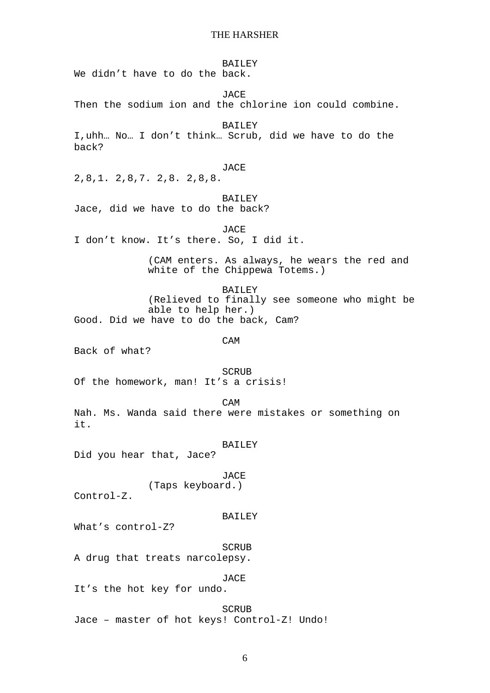BAILEY

We didn't have to do the back.

JACE

Then the sodium ion and the chlorine ion could combine.

**BAILEY** 

I,uhh… No… I don't think… Scrub, did we have to do the back?

#### JACE

2,8,1. 2,8,7. 2,8. 2,8,8.

#### BAILEY

Jace, did we have to do the back?

JACE

I don't know. It's there. So, I did it.

(CAM enters. As always, he wears the red and white of the Chippewa Totems.)

BAILEY (Relieved to finally see someone who might be able to help her.) Good. Did we have to do the back, Cam?

CAM

Back of what?

**SCRUB** 

Of the homework, man! It's a crisis!

CAM

Nah. Ms. Wanda said there were mistakes or something on it.

#### BAILEY

Did you hear that, Jace?

JACE (Taps keyboard.)

Control-Z.

#### BAILEY

What's control-Z?

SCRUB A drug that treats narcolepsy.

JACE

It's the hot key for undo.

### SCRUB

Jace – master of hot keys! Control-Z! Undo!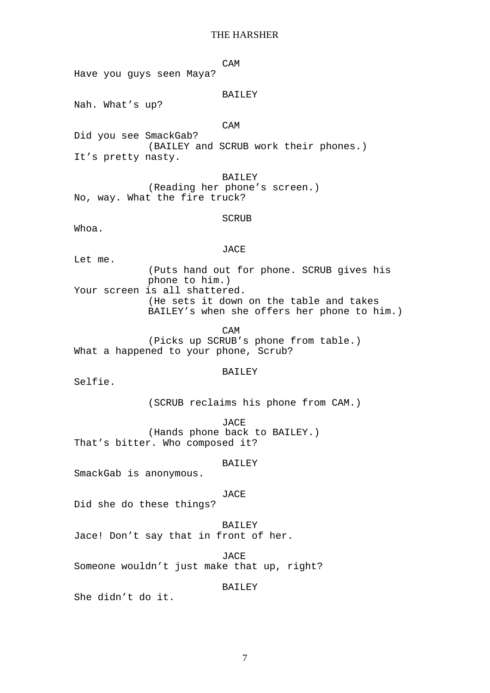CAM

Have you guys seen Maya?

### BAILEY

Nah. What's up?

#### CAM

Did you see SmackGab? (BAILEY and SCRUB work their phones.) It's pretty nasty.

BAILEY (Reading her phone's screen.) No, way. What the fire truck?

### SCRUB

Whoa.

#### JACE

Let me.

(Puts hand out for phone. SCRUB gives his phone to him.) Your screen is all shattered. (He sets it down on the table and takes BAILEY's when she offers her phone to him.)

CAM

(Picks up SCRUB's phone from table.) What a happened to your phone, Scrub?

#### BAILEY

Selfie.

(SCRUB reclaims his phone from CAM.)

JACE (Hands phone back to BAILEY.) That's bitter. Who composed it?

## BAILEY

SmackGab is anonymous.

## JACE

Did she do these things?

#### BAILEY

Jace! Don't say that in front of her.

JACE

Someone wouldn't just make that up, right?

#### BAILEY

She didn't do it.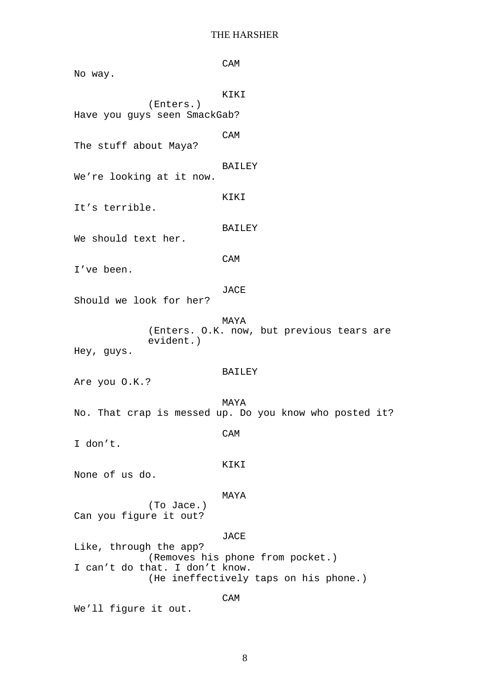CAM No way. KIKI (Enters.) Have you guys seen SmackGab? CAM The stuff about Maya? BAILEY We're looking at it now. KIKI It's terrible. BAILEY We should text her. CAM I've been. JACE Should we look for her? MAYA (Enters. O.K. now, but previous tears are evident.) Hey, guys. BAILEY Are you O.K.? MAYA No. That crap is messed up. Do you know who posted it? CAM I don't. KIKI None of us do. MAYA (To Jace.) Can you figure it out? JACE Like, through the app? (Removes his phone from pocket.) I can't do that. I don't know. (He ineffectively taps on his phone.) CAM

We'll figure it out.

8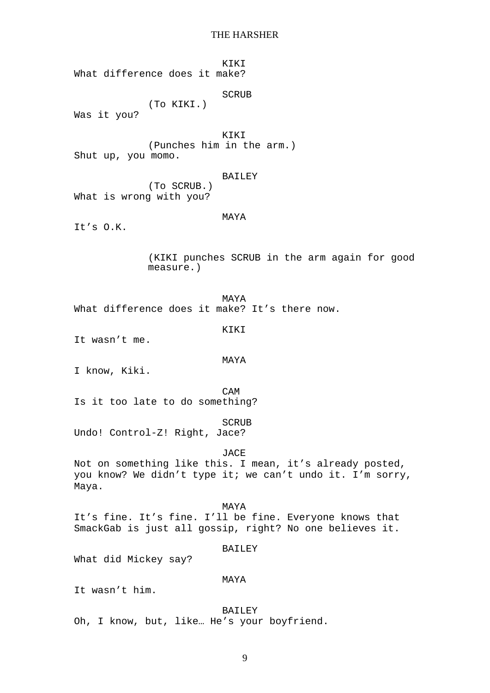KIKI What difference does it make? SCRUB (To KIKI.) Was it you? KIKI (Punches him in the arm.) Shut up, you momo. BAILEY (To SCRUB.) What is wrong with you? MAYA It's O.K. (KIKI punches SCRUB in the arm again for good measure.) MAYA What difference does it make? It's there now. KIKI It wasn't me. MAYA I know, Kiki. CAM Is it too late to do something? SCRUB Undo! Control-Z! Right, Jace? JACE Not on something like this. I mean, it's already posted, you know? We didn't type it; we can't undo it. I'm sorry, Maya. MAYA It's fine. It's fine. I'll be fine. Everyone knows that SmackGab is just all gossip, right? No one believes it. **BAILEY** What did Mickey say? MAYA It wasn't him. BAILEY Oh, I know, but, like… He's your boyfriend.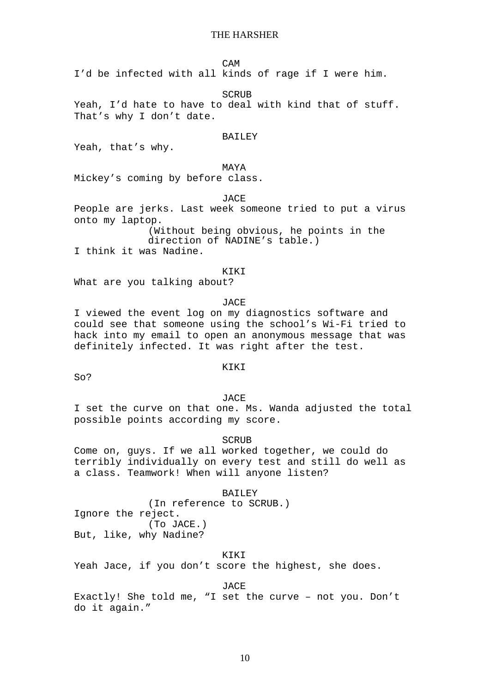CAM

I'd be infected with all kinds of rage if I were him.

SCRUB

Yeah, I'd hate to have to deal with kind that of stuff. That's why I don't date.

#### **BAILEY**

Yeah, that's why.

## MAYA

Mickey's coming by before class.

JACE

People are jerks. Last week someone tried to put a virus onto my laptop.

(Without being obvious, he points in the direction of NADINE's table.)

I think it was Nadine.

### KIKI

What are you talking about?

**JACE** 

I viewed the event log on my diagnostics software and could see that someone using the school's Wi-Fi tried to hack into my email to open an anonymous message that was definitely infected. It was right after the test.

## KIKI

So?

## JACE

I set the curve on that one. Ms. Wanda adjusted the total possible points according my score.

SCRUB

Come on, guys. If we all worked together, we could do terribly individually on every test and still do well as a class. Teamwork! When will anyone listen?

BAILEY (In reference to SCRUB.) Ignore the reject. (To JACE.) But, like, why Nadine?

### KIKI

Yeah Jace, if you don't score the highest, she does.

JACE

Exactly! She told me, "I set the curve – not you. Don't do it again."